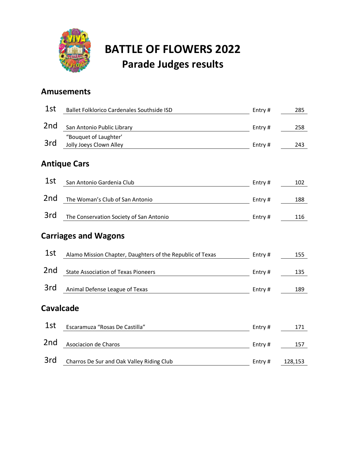

# **BATTLE OF FLOWERS 2022 Parade Judges results**

#### **Amusements**

| 1st                         | Ballet Folklorico Cardenales Southside ISD                | Entry# | 285     |  |  |
|-----------------------------|-----------------------------------------------------------|--------|---------|--|--|
| 2 <sub>nd</sub>             | San Antonio Public Library                                | Entry# | 258     |  |  |
| 3rd                         | "Bouquet of Laughter'<br>Jolly Joeys Clown Alley          | Entry# | 243     |  |  |
|                             | <b>Antique Cars</b>                                       |        |         |  |  |
| 1st                         | San Antonio Gardenia Club                                 | Entry# | 102     |  |  |
| 2 <sub>nd</sub>             | The Woman's Club of San Antonio                           | Entry# | 188     |  |  |
| 3rd                         | The Conservation Society of San Antonio                   | Entry# | 116     |  |  |
| <b>Carriages and Wagons</b> |                                                           |        |         |  |  |
| 1st                         | Alamo Mission Chapter, Daughters of the Republic of Texas | Entry# | 155     |  |  |
| 2 <sub>nd</sub>             | <b>State Association of Texas Pioneers</b>                | Entry# | 135     |  |  |
| 3rd                         | Animal Defense League of Texas                            | Entry# | 189     |  |  |
| <b>Cavalcade</b>            |                                                           |        |         |  |  |
| 1st                         | Escaramuza "Rosas De Castilla"                            | Entry# | 171     |  |  |
| 2 <sub>nd</sub>             | Asociacion de Charos                                      | Entry# | 157     |  |  |
| 3rd                         | Charros De Sur and Oak Valley Riding Club                 | Entry# | 128,153 |  |  |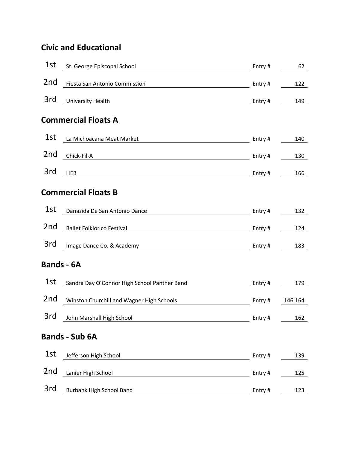### **Civic and Educational**

| 1st               | St. George Episcopal School                  | Entry# | 62      |  |
|-------------------|----------------------------------------------|--------|---------|--|
| 2nd               | Fiesta San Antonio Commission                | Entry# | 122     |  |
| 3rd               | <b>University Health</b>                     | Entry# | 149     |  |
|                   | <b>Commercial Floats A</b>                   |        |         |  |
| 1st               | La Michoacana Meat Market                    | Entry# | 140     |  |
| 2 <sub>nd</sub>   | Chick-Fil-A                                  | Entry# | 130     |  |
| 3rd               | <b>HEB</b>                                   | Entry# | 166     |  |
|                   | <b>Commercial Floats B</b>                   |        |         |  |
| 1st               | Danazida De San Antonio Dance                | Entry# | 132     |  |
| 2 <sub>nd</sub>   | <b>Ballet Folklorico Festival</b>            | Entry# | 124     |  |
| 3rd               | Image Dance Co. & Academy                    | Entry# | 183     |  |
| <b>Bands - 6A</b> |                                              |        |         |  |
| 1st               | Sandra Day O'Connor High School Panther Band | Entry# | 179     |  |
| 2 <sub>nd</sub>   | Winston Churchill and Wagner High Schools    | Entry# | 146,164 |  |
| 3rd               | John Marshall High School                    | Entry# | 162     |  |
|                   | <b>Bands - Sub 6A</b>                        |        |         |  |
| 1st               | Jefferson High School                        | Entry# | 139     |  |
| 2nd               | Lanier High School                           | Entry# | 125     |  |
| 3rd               | <b>Burbank High School Band</b>              | Entry# | 123     |  |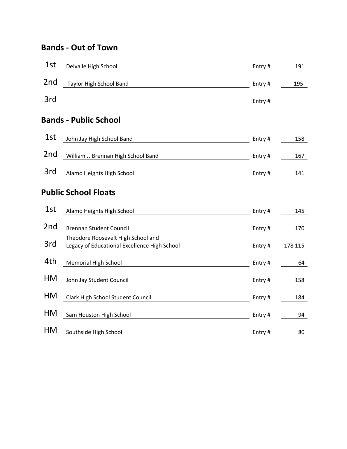#### **Bands - Out of Town**

| 1st                         | Delvalle High School                                                               | Entry# | 191     |  |  |
|-----------------------------|------------------------------------------------------------------------------------|--------|---------|--|--|
| 2nd                         | Taylor High School Band                                                            | Entry# | 195     |  |  |
| 3rd                         |                                                                                    | Entry# |         |  |  |
|                             | <b>Bands - Public School</b>                                                       |        |         |  |  |
| 1st                         | John Jay High School Band                                                          | Entry# | 158     |  |  |
| 2nd                         | William J. Brennan High School Band                                                | Entry# | 167     |  |  |
| 3rd                         | Alamo Heights High School                                                          | Entry# | 141     |  |  |
| <b>Public School Floats</b> |                                                                                    |        |         |  |  |
| 1st                         | Alamo Heights High School                                                          | Entry# | 145     |  |  |
| 2 <sub>nd</sub>             | <b>Brennan Student Council</b>                                                     | Entry# | 170     |  |  |
| 3rd                         | Theodore Roosevelt High School and<br>Legacy of Educational Excellence High School | Entry# | 178 115 |  |  |
| 4th                         | <b>Memorial High School</b>                                                        | Entry# | 64      |  |  |
| HM                          | John Jay Student Council                                                           | Entry# | 158     |  |  |
| <b>HM</b>                   | Clark High School Student Council                                                  | Entry# | 184     |  |  |
| <b>HM</b>                   | Sam Houston High School                                                            | Entry# | 94      |  |  |
| HM                          | Southside High School                                                              | Entry# | 80      |  |  |